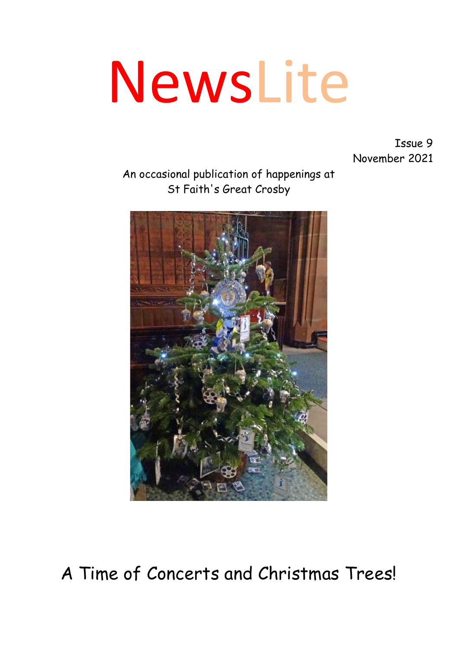# NewsLite

Issue 9 November 2021

An occasional publication of happenings at St Faith's Great Crosby



A Time of Concerts and Christmas Trees!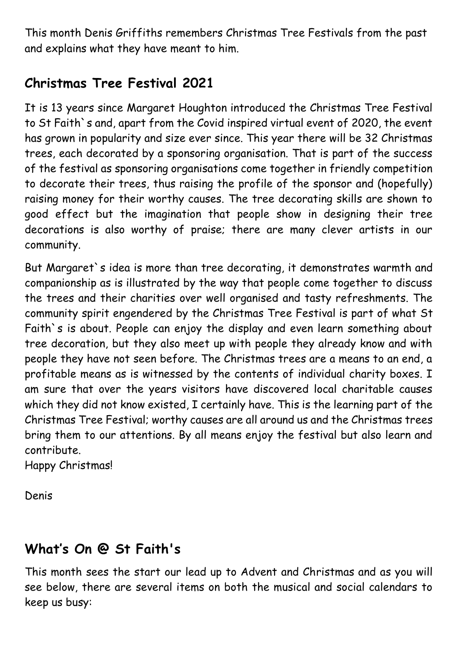This month Denis Griffiths remembers Christmas Tree Festivals from the past and explains what they have meant to him.

## **Christmas Tree Festival 2021**

It is 13 years since Margaret Houghton introduced the Christmas Tree Festival to St Faith`s and, apart from the Covid inspired virtual event of 2020, the event has grown in popularity and size ever since. This year there will be 32 Christmas trees, each decorated by a sponsoring organisation. That is part of the success of the festival as sponsoring organisations come together in friendly competition to decorate their trees, thus raising the profile of the sponsor and (hopefully) raising money for their worthy causes. The tree decorating skills are shown to good effect but the imagination that people show in designing their tree decorations is also worthy of praise; there are many clever artists in our community.

But Margaret`s idea is more than tree decorating, it demonstrates warmth and companionship as is illustrated by the way that people come together to discuss the trees and their charities over well organised and tasty refreshments. The community spirit engendered by the Christmas Tree Festival is part of what St Faith`s is about. People can enjoy the display and even learn something about tree decoration, but they also meet up with people they already know and with people they have not seen before. The Christmas trees are a means to an end, a profitable means as is witnessed by the contents of individual charity boxes. I am sure that over the years visitors have discovered local charitable causes which they did not know existed, I certainly have. This is the learning part of the Christmas Tree Festival; worthy causes are all around us and the Christmas trees bring them to our attentions. By all means enjoy the festival but also learn and contribute.

Happy Christmas!

Denis

### **What's On @ St Faith's**

This month sees the start our lead up to Advent and Christmas and as you will see below, there are several items on both the musical and social calendars to keep us busy: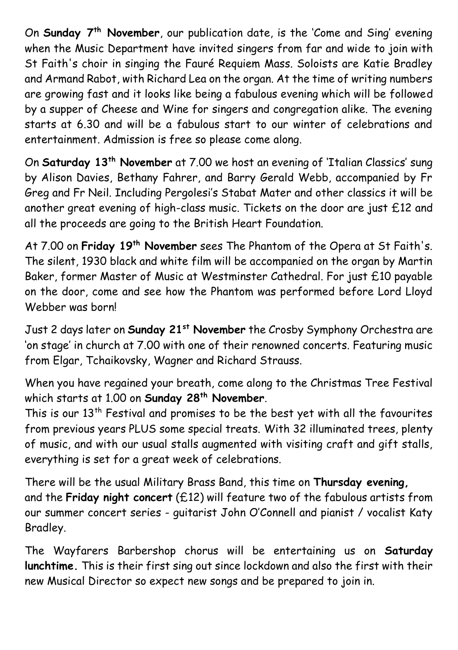On **Sunday 7th November**, our publication date, is the 'Come and Sing' evening when the Music Department have invited singers from far and wide to join with St Faith's choir in singing the Fauré Requiem Mass. Soloists are Katie Bradley and Armand Rabot, with Richard Lea on the organ. At the time of writing numbers are growing fast and it looks like being a fabulous evening which will be followed by a supper of Cheese and Wine for singers and congregation alike. The evening starts at 6.30 and will be a fabulous start to our winter of celebrations and entertainment. Admission is free so please come along.

On **Saturday 13th November** at 7.00 we host an evening of 'Italian Classics' sung by Alison Davies, Bethany Fahrer, and Barry Gerald Webb, accompanied by Fr Greg and Fr Neil. Including Pergolesi's Stabat Mater and other classics it will be another great evening of high-class music. Tickets on the door are just £12 and all the proceeds are going to the British Heart Foundation.

At 7.00 on **Friday 19th November** sees The Phantom of the Opera at St Faith's. The silent, 1930 black and white film will be accompanied on the organ by Martin Baker, former Master of Music at Westminster Cathedral. For just £10 payable on the door, come and see how the Phantom was performed before Lord Lloyd Webber was born!

Just 2 days later on **Sunday 21st November** the Crosby Symphony Orchestra are 'on stage' in church at 7.00 with one of their renowned concerts. Featuring music from Elgar, Tchaikovsky, Wagner and Richard Strauss.

When you have regained your breath, come along to the Christmas Tree Festival which starts at 1.00 on **Sunday 28th November**.

This is our 13<sup>th</sup> Festival and promises to be the best yet with all the favourites from previous years PLUS some special treats. With 32 illuminated trees, plenty of music, and with our usual stalls augmented with visiting craft and gift stalls, everything is set for a great week of celebrations.

There will be the usual Military Brass Band, this time on **Thursday evening,** and the **Friday night concert** (£12) will feature two of the fabulous artists from our summer concert series - guitarist John O'Connell and pianist / vocalist Katy Bradley.

The Wayfarers Barbershop chorus will be entertaining us on **Saturday lunchtime.** This is their first sing out since lockdown and also the first with their new Musical Director so expect new songs and be prepared to join in.